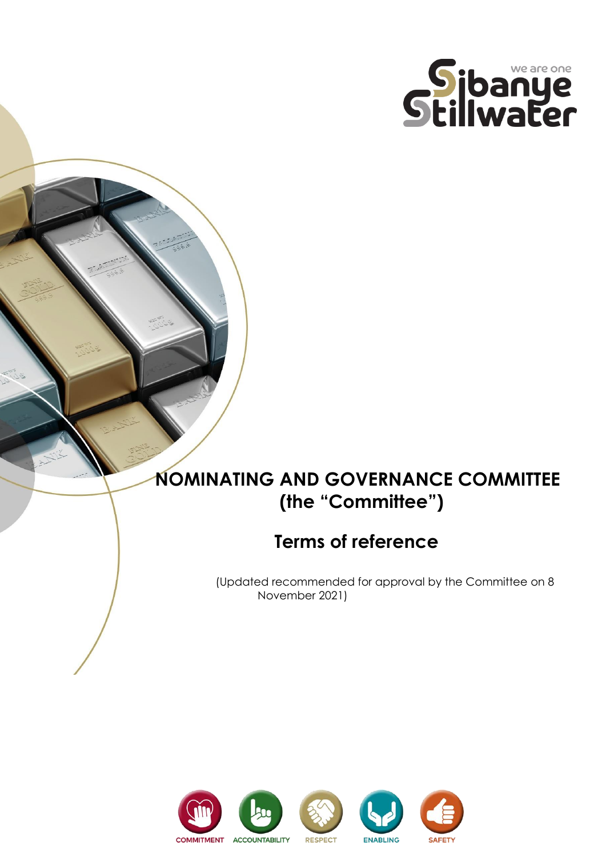

# **NOMINATING AND GOVERNANCE COMMITTEE (the "Committee")**

## **Terms of reference**

 (Updated recommended for approval by the Committee on 8 November 2021)

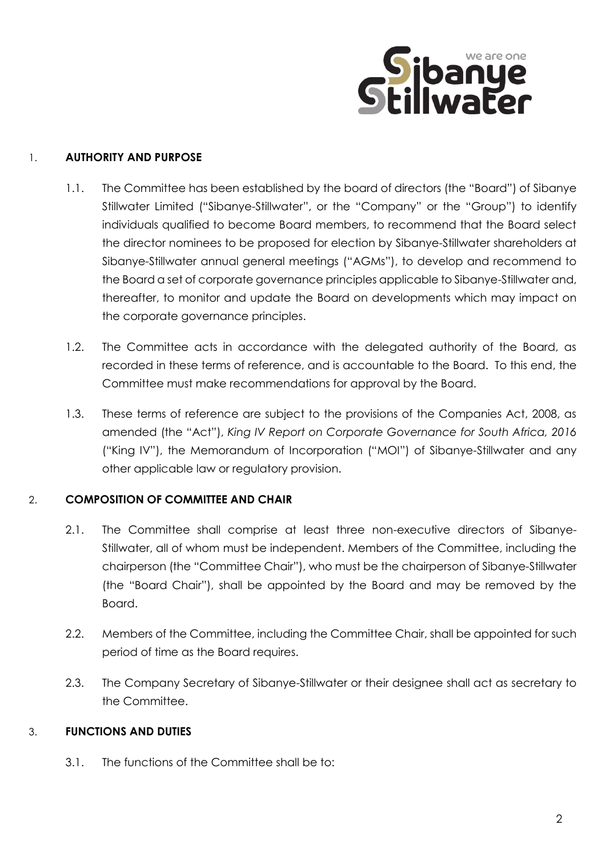

## 1. **AUTHORITY AND PURPOSE**

- 1.1. The Committee has been established by the board of directors (the "Board") of Sibanye Stillwater Limited ("Sibanye-Stillwater", or the "Company" or the "Group") to identify individuals qualified to become Board members, to recommend that the Board select the director nominees to be proposed for election by Sibanye-Stillwater shareholders at Sibanye-Stillwater annual general meetings ("AGMs"), to develop and recommend to the Board a set of corporate governance principles applicable to Sibanye-Stillwater and, thereafter, to monitor and update the Board on developments which may impact on the corporate governance principles.
- 1.2. The Committee acts in accordance with the delegated authority of the Board, as recorded in these terms of reference, and is accountable to the Board. To this end, the Committee must make recommendations for approval by the Board.
- 1.3. These terms of reference are subject to the provisions of the Companies Act, 2008, as amended (the "Act"), *King IV Report on Corporate Governance for South Africa, 2016* ("King IV"), the Memorandum of Incorporation ("MOI") of Sibanye-Stillwater and any other applicable law or regulatory provision.

## 2. **COMPOSITION OF COMMITTEE AND CHAIR**

- 2.1. The Committee shall comprise at least three non-executive directors of Sibanye-Stillwater, all of whom must be independent. Members of the Committee, including the chairperson (the "Committee Chair"), who must be the chairperson of Sibanye-Stillwater (the "Board Chair"), shall be appointed by the Board and may be removed by the Board.
- 2.2. Members of the Committee, including the Committee Chair, shall be appointed for such period of time as the Board requires.
- 2.3. The Company Secretary of Sibanye-Stillwater or their designee shall act as secretary to the Committee.

## 3. **FUNCTIONS AND DUTIES**

3.1. The functions of the Committee shall be to: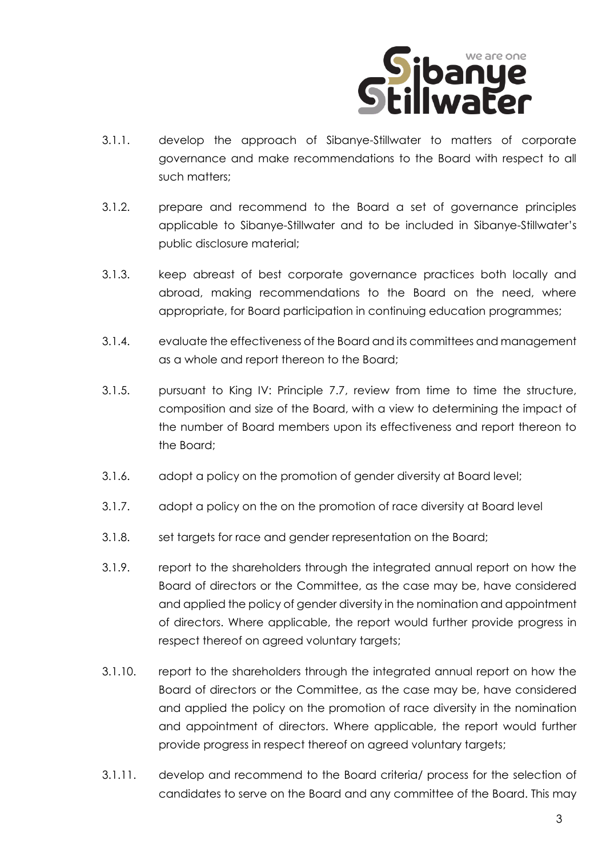

- 3.1.1. develop the approach of Sibanye-Stillwater to matters of corporate governance and make recommendations to the Board with respect to all such matters;
- 3.1.2. prepare and recommend to the Board a set of governance principles applicable to Sibanye-Stillwater and to be included in Sibanye-Stillwater's public disclosure material;
- 3.1.3. keep abreast of best corporate governance practices both locally and abroad, making recommendations to the Board on the need, where appropriate, for Board participation in continuing education programmes;
- 3.1.4. evaluate the effectiveness of the Board and its committees and management as a whole and report thereon to the Board;
- 3.1.5. pursuant to King IV: Principle 7.7, review from time to time the structure, composition and size of the Board, with a view to determining the impact of the number of Board members upon its effectiveness and report thereon to the Board;
- 3.1.6. adopt a policy on the promotion of gender diversity at Board level;
- 3.1.7. adopt a policy on the on the promotion of race diversity at Board level
- 3.1.8. set targets for race and gender representation on the Board;
- 3.1.9. report to the shareholders through the integrated annual report on how the Board of directors or the Committee, as the case may be, have considered and applied the policy of gender diversity in the nomination and appointment of directors. Where applicable, the report would further provide progress in respect thereof on agreed voluntary targets;
- 3.1.10. report to the shareholders through the integrated annual report on how the Board of directors or the Committee, as the case may be, have considered and applied the policy on the promotion of race diversity in the nomination and appointment of directors. Where applicable, the report would further provide progress in respect thereof on agreed voluntary targets;
- 3.1.11. develop and recommend to the Board criteria/ process for the selection of candidates to serve on the Board and any committee of the Board. This may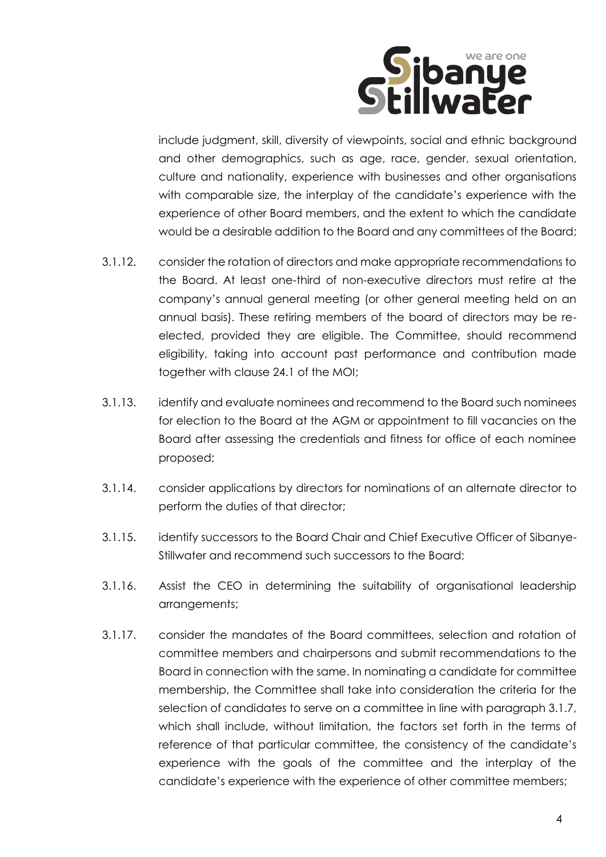

include judgment, skill, diversity of viewpoints, social and ethnic background and other demographics, such as age, race, gender, sexual orientation, culture and nationality, experience with businesses and other organisations with comparable size, the interplay of the candidate's experience with the experience of other Board members, and the extent to which the candidate would be a desirable addition to the Board and any committees of the Board;

- 3.1.12. consider the rotation of directors and make appropriate recommendations to the Board. At least one-third of non-executive directors must retire at the company's annual general meeting (or other general meeting held on an annual basis). These retiring members of the board of directors may be reelected, provided they are eligible. The Committee, should recommend eligibility, taking into account past performance and contribution made together with clause 24.1 of the MOI;
- 3.1.13. identify and evaluate nominees and recommend to the Board such nominees for election to the Board at the AGM or appointment to fill vacancies on the Board after assessing the credentials and fitness for office of each nominee proposed;
- 3.1.14. consider applications by directors for nominations of an alternate director to perform the duties of that director;
- 3.1.15. identify successors to the Board Chair and Chief Executive Officer of Sibanye-Stillwater and recommend such successors to the Board;
- 3.1.16. Assist the CEO in determining the suitability of organisational leadership arrangements;
- 3.1.17. consider the mandates of the Board committees, selection and rotation of committee members and chairpersons and submit recommendations to the Board in connection with the same. In nominating a candidate for committee membership, the Committee shall take into consideration the criteria for the selection of candidates to serve on a committee in line with paragraph 3.1.7, which shall include, without limitation, the factors set forth in the terms of reference of that particular committee, the consistency of the candidate's experience with the goals of the committee and the interplay of the candidate's experience with the experience of other committee members;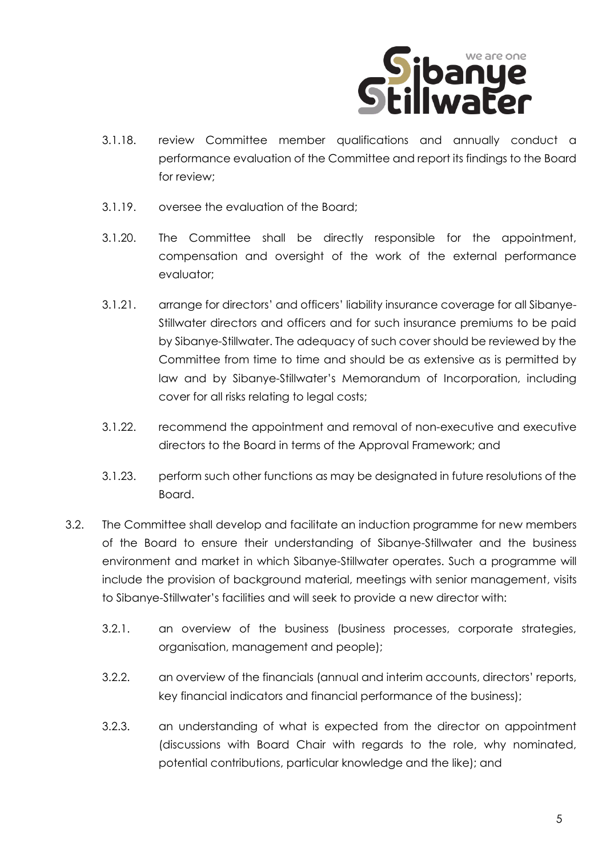

- 3.1.18. review Committee member qualifications and annually conduct a performance evaluation of the Committee and report its findings to the Board for review;
- 3.1.19. oversee the evaluation of the Board;
- 3.1.20. The Committee shall be directly responsible for the appointment, compensation and oversight of the work of the external performance evaluator;
- 3.1.21. arrange for directors' and officers' liability insurance coverage for all Sibanye-Stillwater directors and officers and for such insurance premiums to be paid by Sibanye-Stillwater. The adequacy of such cover should be reviewed by the Committee from time to time and should be as extensive as is permitted by law and by Sibanye-Stillwater's Memorandum of Incorporation, including cover for all risks relating to legal costs;
- 3.1.22. recommend the appointment and removal of non-executive and executive directors to the Board in terms of the Approval Framework; and
- 3.1.23. perform such other functions as may be designated in future resolutions of the Board.
- 3.2. The Committee shall develop and facilitate an induction programme for new members of the Board to ensure their understanding of Sibanye-Stillwater and the business environment and market in which Sibanye-Stillwater operates. Such a programme will include the provision of background material, meetings with senior management, visits to Sibanye-Stillwater's facilities and will seek to provide a new director with:
	- 3.2.1. an overview of the business (business processes, corporate strategies, organisation, management and people);
	- 3.2.2. an overview of the financials (annual and interim accounts, directors' reports, key financial indicators and financial performance of the business);
	- 3.2.3. an understanding of what is expected from the director on appointment (discussions with Board Chair with regards to the role, why nominated, potential contributions, particular knowledge and the like); and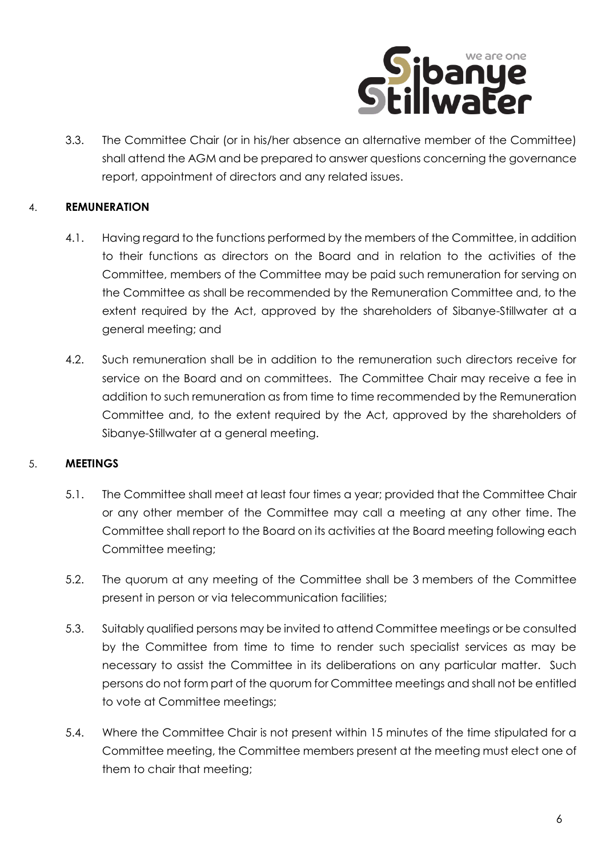

3.3. The Committee Chair (or in his/her absence an alternative member of the Committee) shall attend the AGM and be prepared to answer questions concerning the governance report, appointment of directors and any related issues.

### 4. **REMUNERATION**

- 4.1. Having regard to the functions performed by the members of the Committee, in addition to their functions as directors on the Board and in relation to the activities of the Committee, members of the Committee may be paid such remuneration for serving on the Committee as shall be recommended by the Remuneration Committee and, to the extent required by the Act, approved by the shareholders of Sibanye-Stillwater at a general meeting; and
- 4.2. Such remuneration shall be in addition to the remuneration such directors receive for service on the Board and on committees. The Committee Chair may receive a fee in addition to such remuneration as from time to time recommended by the Remuneration Committee and, to the extent required by the Act, approved by the shareholders of Sibanye-Stillwater at a general meeting.

#### 5. **MEETINGS**

- 5.1. The Committee shall meet at least four times a year; provided that the Committee Chair or any other member of the Committee may call a meeting at any other time. The Committee shall report to the Board on its activities at the Board meeting following each Committee meeting;
- 5.2. The quorum at any meeting of the Committee shall be 3 members of the Committee present in person or via telecommunication facilities;
- 5.3. Suitably qualified persons may be invited to attend Committee meetings or be consulted by the Committee from time to time to render such specialist services as may be necessary to assist the Committee in its deliberations on any particular matter. Such persons do not form part of the quorum for Committee meetings and shall not be entitled to vote at Committee meetings;
- 5.4. Where the Committee Chair is not present within 15 minutes of the time stipulated for a Committee meeting, the Committee members present at the meeting must elect one of them to chair that meeting;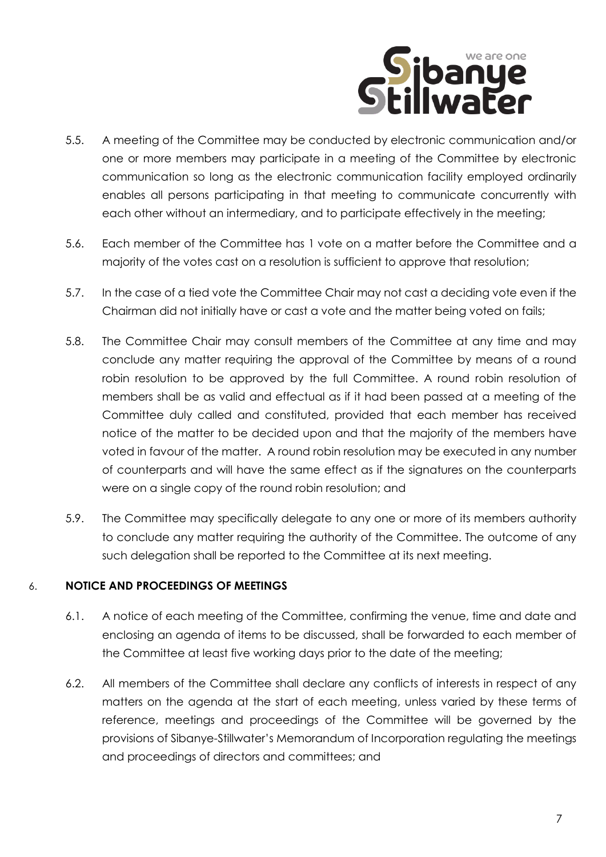

- 5.5. A meeting of the Committee may be conducted by electronic communication and/or one or more members may participate in a meeting of the Committee by electronic communication so long as the electronic communication facility employed ordinarily enables all persons participating in that meeting to communicate concurrently with each other without an intermediary, and to participate effectively in the meeting;
- 5.6. Each member of the Committee has 1 vote on a matter before the Committee and a majority of the votes cast on a resolution is sufficient to approve that resolution;
- 5.7. In the case of a tied vote the Committee Chair may not cast a deciding vote even if the Chairman did not initially have or cast a vote and the matter being voted on fails;
- 5.8. The Committee Chair may consult members of the Committee at any time and may conclude any matter requiring the approval of the Committee by means of a round robin resolution to be approved by the full Committee. A round robin resolution of members shall be as valid and effectual as if it had been passed at a meeting of the Committee duly called and constituted, provided that each member has received notice of the matter to be decided upon and that the majority of the members have voted in favour of the matter. A round robin resolution may be executed in any number of counterparts and will have the same effect as if the signatures on the counterparts were on a single copy of the round robin resolution; and
- 5.9. The Committee may specifically delegate to any one or more of its members authority to conclude any matter requiring the authority of the Committee. The outcome of any such delegation shall be reported to the Committee at its next meeting.

## 6. **NOTICE AND PROCEEDINGS OF MEETINGS**

- 6.1. A notice of each meeting of the Committee, confirming the venue, time and date and enclosing an agenda of items to be discussed, shall be forwarded to each member of the Committee at least five working days prior to the date of the meeting;
- 6.2. All members of the Committee shall declare any conflicts of interests in respect of any matters on the agenda at the start of each meeting, unless varied by these terms of reference, meetings and proceedings of the Committee will be governed by the provisions of Sibanye-Stillwater's Memorandum of Incorporation regulating the meetings and proceedings of directors and committees; and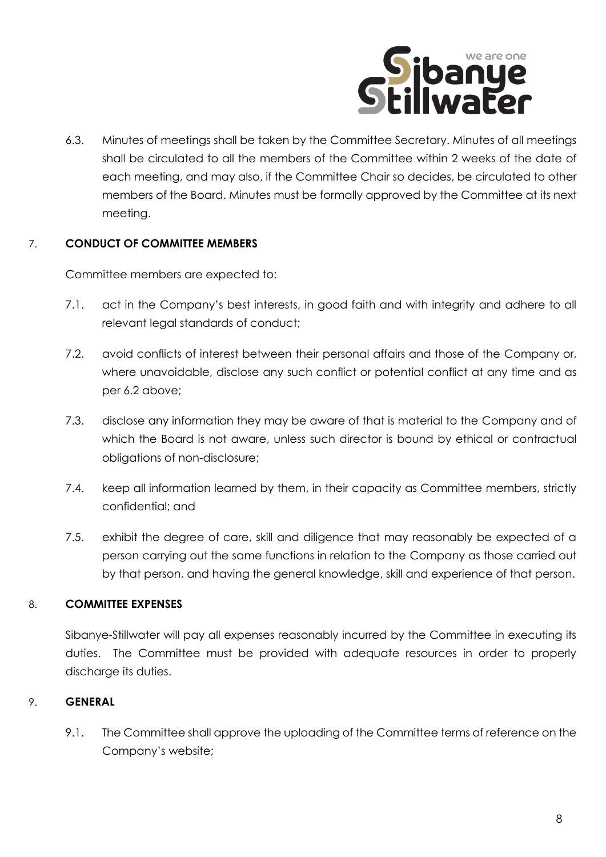

6.3. Minutes of meetings shall be taken by the Committee Secretary. Minutes of all meetings shall be circulated to all the members of the Committee within 2 weeks of the date of each meeting, and may also, if the Committee Chair so decides, be circulated to other members of the Board. Minutes must be formally approved by the Committee at its next meeting.

#### 7. **CONDUCT OF COMMITTEE MEMBERS**

Committee members are expected to:

- 7.1. act in the Company's best interests, in good faith and with integrity and adhere to all relevant legal standards of conduct;
- 7.2. avoid conflicts of interest between their personal affairs and those of the Company or, where unavoidable, disclose any such conflict or potential conflict at any time and as per 6.2 above;
- 7.3. disclose any information they may be aware of that is material to the Company and of which the Board is not aware, unless such director is bound by ethical or contractual obligations of non-disclosure;
- 7.4. keep all information learned by them, in their capacity as Committee members, strictly confidential; and
- 7.5. exhibit the degree of care, skill and diligence that may reasonably be expected of a person carrying out the same functions in relation to the Company as those carried out by that person, and having the general knowledge, skill and experience of that person.

## 8. **COMMITTEE EXPENSES**

Sibanye-Stillwater will pay all expenses reasonably incurred by the Committee in executing its duties. The Committee must be provided with adequate resources in order to properly discharge its duties.

## 9. **GENERAL**

9.1. The Committee shall approve the uploading of the Committee terms of reference on the Company's website;